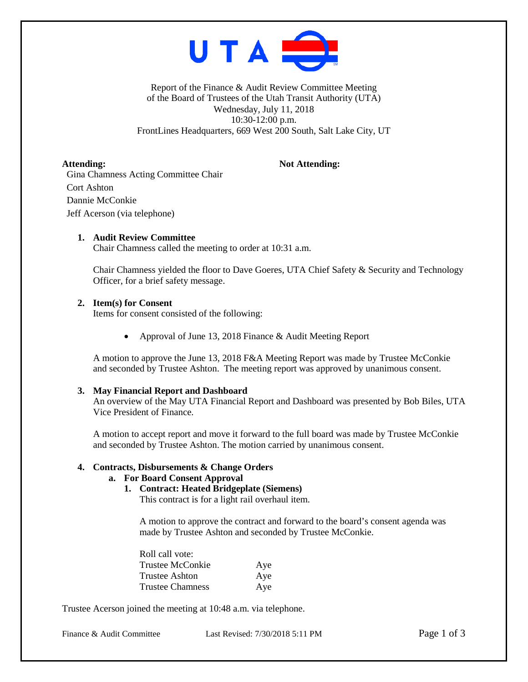

Report of the Finance & Audit Review Committee Meeting of the Board of Trustees of the Utah Transit Authority (UTA) Wednesday, July 11, 2018 10:30-12:00 p.m. FrontLines Headquarters, 669 West 200 South, Salt Lake City, UT

Attending: Not Attending: Gina Chamness Acting Committee Chair Cort Ashton Dannie McConkie Jeff Acerson (via telephone)

## **1. Audit Review Committee**

Chair Chamness called the meeting to order at 10:31 a.m.

Chair Chamness yielded the floor to Dave Goeres, UTA Chief Safety & Security and Technology Officer, for a brief safety message.

## **2. Item(s) for Consent**

Items for consent consisted of the following:

• Approval of June 13, 2018 Finance & Audit Meeting Report

A motion to approve the June 13, 2018 F&A Meeting Report was made by Trustee McConkie and seconded by Trustee Ashton. The meeting report was approved by unanimous consent.

#### **3. May Financial Report and Dashboard**

An overview of the May UTA Financial Report and Dashboard was presented by Bob Biles, UTA Vice President of Finance.

A motion to accept report and move it forward to the full board was made by Trustee McConkie and seconded by Trustee Ashton. The motion carried by unanimous consent.

#### **4. Contracts, Disbursements & Change Orders**

## **a. For Board Consent Approval**

**1. Contract: Heated Bridgeplate (Siemens)**

This contract is for a light rail overhaul item.

A motion to approve the contract and forward to the board's consent agenda was made by Trustee Ashton and seconded by Trustee McConkie.

| Roll call vote:  |     |
|------------------|-----|
| Trustee McConkie | Aye |
| Trustee Ashton   | Aye |
| Trustee Chamness | Aye |

Trustee Acerson joined the meeting at 10:48 a.m. via telephone.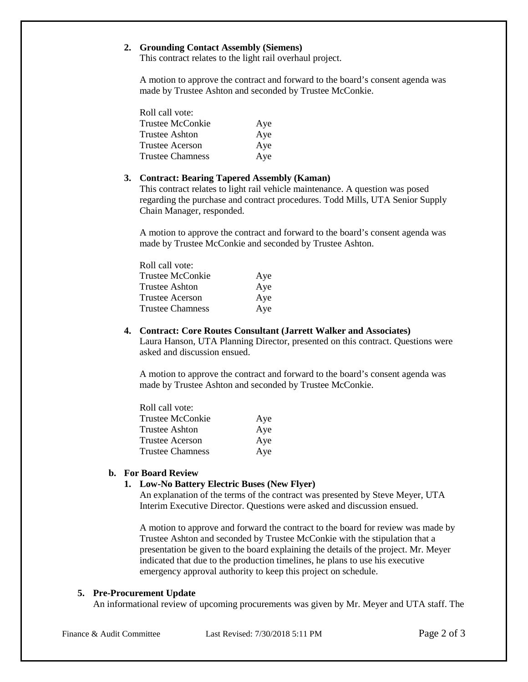## **2. Grounding Contact Assembly (Siemens)**

This contract relates to the light rail overhaul project.

A motion to approve the contract and forward to the board's consent agenda was made by Trustee Ashton and seconded by Trustee McConkie.

| Roll call vote:         |     |
|-------------------------|-----|
| Trustee McConkie        | Aye |
| Trustee Ashton          | Aye |
| <b>Trustee Acerson</b>  | Aye |
| <b>Trustee Chamness</b> | Aye |

#### **3. Contract: Bearing Tapered Assembly (Kaman)**

This contract relates to light rail vehicle maintenance. A question was posed regarding the purchase and contract procedures. Todd Mills, UTA Senior Supply Chain Manager, responded.

A motion to approve the contract and forward to the board's consent agenda was made by Trustee McConkie and seconded by Trustee Ashton.

| Roll call vote:        |     |
|------------------------|-----|
| Trustee McConkie       | Aye |
| <b>Trustee Ashton</b>  | Aye |
| <b>Trustee Acerson</b> | Aye |
| Trustee Chamness       | Aye |

#### **4. Contract: Core Routes Consultant (Jarrett Walker and Associates)**

Laura Hanson, UTA Planning Director, presented on this contract. Questions were asked and discussion ensued.

A motion to approve the contract and forward to the board's consent agenda was made by Trustee Ashton and seconded by Trustee McConkie.

| Roll call vote:         |     |
|-------------------------|-----|
| Trustee McConkie        | Aye |
| Trustee Ashton          | Aye |
| Trustee Acerson         | Aye |
| <b>Trustee Chamness</b> | Aye |

# **b. For Board Review**

## **1. Low-No Battery Electric Buses (New Flyer)**

An explanation of the terms of the contract was presented by Steve Meyer, UTA Interim Executive Director. Questions were asked and discussion ensued.

A motion to approve and forward the contract to the board for review was made by Trustee Ashton and seconded by Trustee McConkie with the stipulation that a presentation be given to the board explaining the details of the project. Mr. Meyer indicated that due to the production timelines, he plans to use his executive emergency approval authority to keep this project on schedule.

#### **5. Pre-Procurement Update**

An informational review of upcoming procurements was given by Mr. Meyer and UTA staff. The